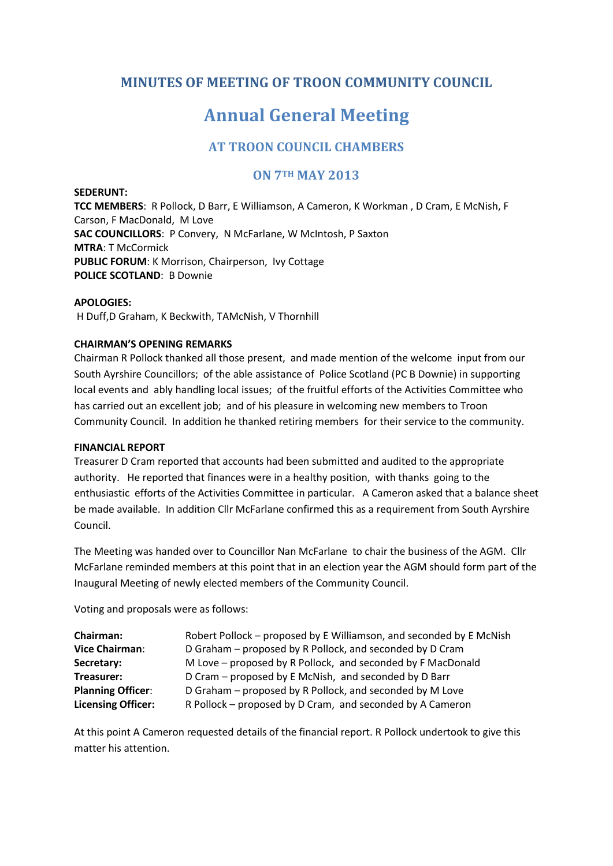# **MINUTES OF MEETING OF TROON COMMUNITY COUNCIL**

# **Annual General Meeting**

## **AT TROON COUNCIL CHAMBERS**

## **ON 7TH MAY 2013**

**SEDERUNT: TCC MEMBERS**: R Pollock, D Barr, E Williamson, A Cameron, K Workman , D Cram, E McNish, F Carson, F MacDonald, M Love **SAC COUNCILLORS**: P Convery, N McFarlane, W McIntosh, P Saxton **MTRA**: T McCormick **PUBLIC FORUM**: K Morrison, Chairperson, Ivy Cottage **POLICE SCOTLAND**: B Downie

#### **APOLOGIES:**

H Duff,D Graham, K Beckwith, TAMcNish, V Thornhill

#### **CHAIRMAN'S OPENING REMARKS**

Chairman R Pollock thanked all those present, and made mention of the welcome input from our South Ayrshire Councillors; of the able assistance of Police Scotland (PC B Downie) in supporting local events and ably handling local issues; of the fruitful efforts of the Activities Committee who has carried out an excellent job; and of his pleasure in welcoming new members to Troon Community Council. In addition he thanked retiring members for their service to the community.

#### **FINANCIAL REPORT**

Treasurer D Cram reported that accounts had been submitted and audited to the appropriate authority. He reported that finances were in a healthy position, with thanks going to the enthusiastic efforts of the Activities Committee in particular. A Cameron asked that a balance sheet be made available. In addition Cllr McFarlane confirmed this as a requirement from South Ayrshire Council.

The Meeting was handed over to Councillor Nan McFarlane to chair the business of the AGM. Cllr McFarlane reminded members at this point that in an election year the AGM should form part of the Inaugural Meeting of newly elected members of the Community Council.

Voting and proposals were as follows:

| <b>Chairman:</b>          | Robert Pollock – proposed by E Williamson, and seconded by E McNish |
|---------------------------|---------------------------------------------------------------------|
| <b>Vice Chairman:</b>     | D Graham - proposed by R Pollock, and seconded by D Cram            |
| Secretary:                | M Love – proposed by R Pollock, and seconded by F MacDonald         |
| Treasurer:                | D Cram – proposed by E McNish, and seconded by D Barr               |
| <b>Planning Officer:</b>  | D Graham - proposed by R Pollock, and seconded by M Love            |
| <b>Licensing Officer:</b> | R Pollock – proposed by D Cram, and seconded by A Cameron           |

At this point A Cameron requested details of the financial report. R Pollock undertook to give this matter his attention.